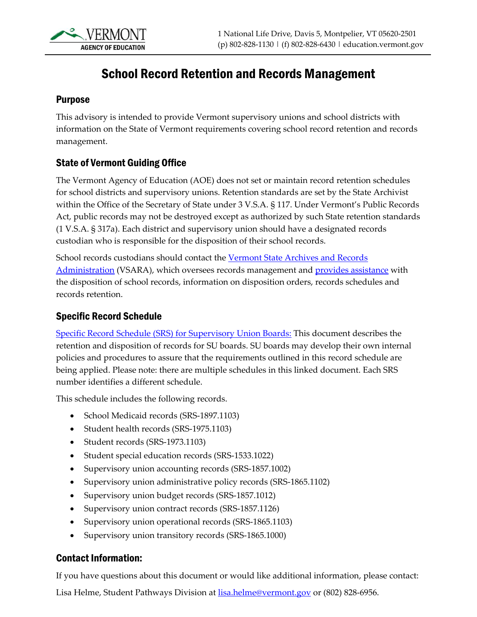

# School Record Retention and Records Management

#### Purpose

This advisory is intended to provide Vermont supervisory unions and school districts with information on the State of Vermont requirements covering school record retention and records management.

### State of Vermont Guiding Office

The Vermont Agency of Education (AOE) does not set or maintain record retention schedules for school districts and supervisory unions. Retention standards are set by the State Archivist within the Office of the Secretary of State under 3 V.S.A. § 117. Under Vermont's Public Records Act, public records may not be destroyed except as authorized by such State retention standards (1 V.S.A. § 317a). Each district and supervisory union should have a designated records custodian who is responsible for the disposition of their school records.

School records custodians should contact the [Vermont State Archives and Records](https://sos.vermont.gov/vsara/)  [Administration](https://sos.vermont.gov/vsara/) (VSARA), which oversees records management and provides [assistance](https://sos.vermont.gov/vsara/manage/) with the disposition of school records, information on disposition orders, records schedules and records retention.

#### Specific Record Schedule

[Specific Record Schedule \(SRS\) for Supervisory Union](https://sos.vermont.gov/media/tzgamqhk/supervisoryunionboards_approvedrecordschedule.pdf) Boards: This document describes the retention and disposition of records for SU boards. SU boards may develop their own internal policies and procedures to assure that the requirements outlined in this record schedule are being applied. Please note: there are multiple schedules in this linked document. Each SRS number identifies a different schedule.

This schedule includes the following records.

- School Medicaid records (SRS-1897.1103)
- Student health records (SRS-1975.1103)
- Student records (SRS-1973.1103)
- Student special education records (SRS-1533.1022)
- Supervisory union accounting records (SRS-1857.1002)
- Supervisory union administrative policy records (SRS-1865.1102)
- Supervisory union budget records (SRS-1857.1012)
- Supervisory union contract records (SRS-1857.1126)
- Supervisory union operational records (SRS-1865.1103)
- Supervisory union transitory records (SRS-1865.1000)

## Contact Information:

If you have questions about this document or would like additional information, please contact:

Lisa Helme, Student Pathways Division at **lisa.helme@vermont.gov** or (802) 828-6956.